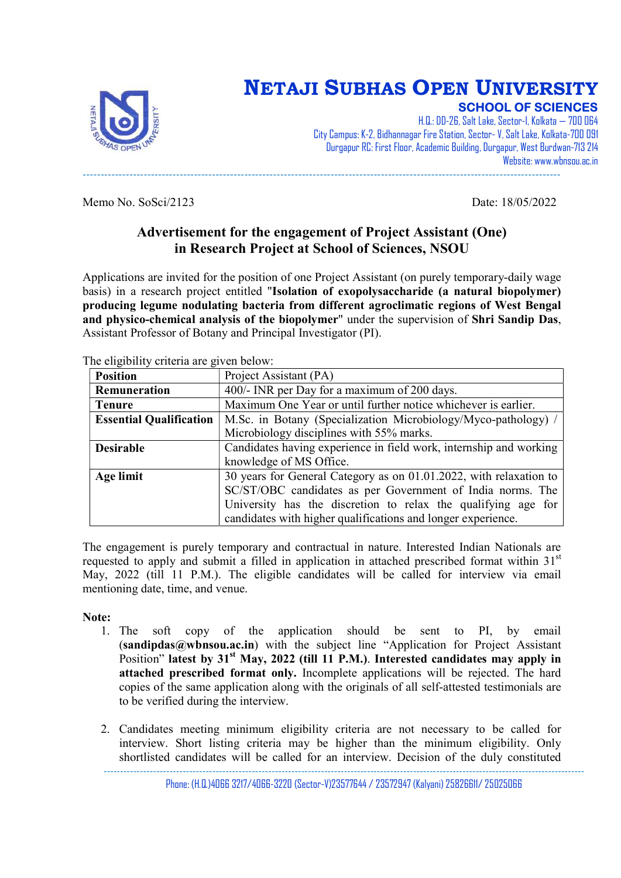

## NETAJI SUBHAS OPEN UNIVERSITY SCHOOL OF SCIENCES

H.Q.: DD-26, Salt Lake, Sector-I, Kolkata — 700 064 City Campus: K-2, Bidhannagar Fire Station, Sector- V, Salt Lake, Kolkata-700 091 Durgapur RC: First Floor, Academic Building, Durgapur, West Burdwan-713 214 Website: www.wbnsou.ac.in -------------------------------------------------------------------------------------------------------------------------------------

Memo No. SoSci/2123 Date: 18/05/2022

### Advertisement for the engagement of Project Assistant (One) in Research Project at School of Sciences, NSOU

Applications are invited for the position of one Project Assistant (on purely temporary-daily wage basis) in a research project entitled "Isolation of exopolysaccharide (a natural biopolymer) producing legume nodulating bacteria from different agroclimatic regions of West Bengal and physico-chemical analysis of the biopolymer" under the supervision of Shri Sandip Das, Assistant Professor of Botany and Principal Investigator (PI).

| $\alpha$ in chigh the children are given below. |                                                                    |  |
|-------------------------------------------------|--------------------------------------------------------------------|--|
| <b>Position</b>                                 | Project Assistant (PA)                                             |  |
| Remuneration                                    | 400/- INR per Day for a maximum of 200 days.                       |  |
| <b>Tenure</b>                                   | Maximum One Year or until further notice whichever is earlier.     |  |
| <b>Essential Qualification</b>                  | M.Sc. in Botany (Specialization Microbiology/Myco-pathology) /     |  |
|                                                 | Microbiology disciplines with 55% marks.                           |  |
| <b>Desirable</b>                                | Candidates having experience in field work, internship and working |  |
|                                                 | knowledge of MS Office.                                            |  |
| Age limit                                       | 30 years for General Category as on 01.01.2022, with relaxation to |  |
|                                                 | SC/ST/OBC candidates as per Government of India norms. The         |  |
|                                                 | University has the discretion to relax the qualifying age for      |  |
|                                                 | candidates with higher qualifications and longer experience.       |  |

The eligibility criteria are given below.

The engagement is purely temporary and contractual in nature. Interested Indian Nationals are requested to apply and submit a filled in application in attached prescribed format within  $31<sup>st</sup>$ May, 2022 (till 11 P.M.). The eligible candidates will be called for interview via email mentioning date, time, and venue.

#### Note:

- 1. The soft copy of the application should be sent to PI, by email (sandipdas@wbnsou.ac.in) with the subject line "Application for Project Assistant Position" latest by  $31<sup>st</sup>$  May, 2022 (till 11 P.M.). Interested candidates may apply in attached prescribed format only. Incomplete applications will be rejected. The hard copies of the same application along with the originals of all self-attested testimonials are to be verified during the interview.
- 2. Candidates meeting minimum eligibility criteria are not necessary to be called for interview. Short listing criteria may be higher than the minimum eligibility. Only shortlisted candidates will be called for an interview. Decision of the duly constituted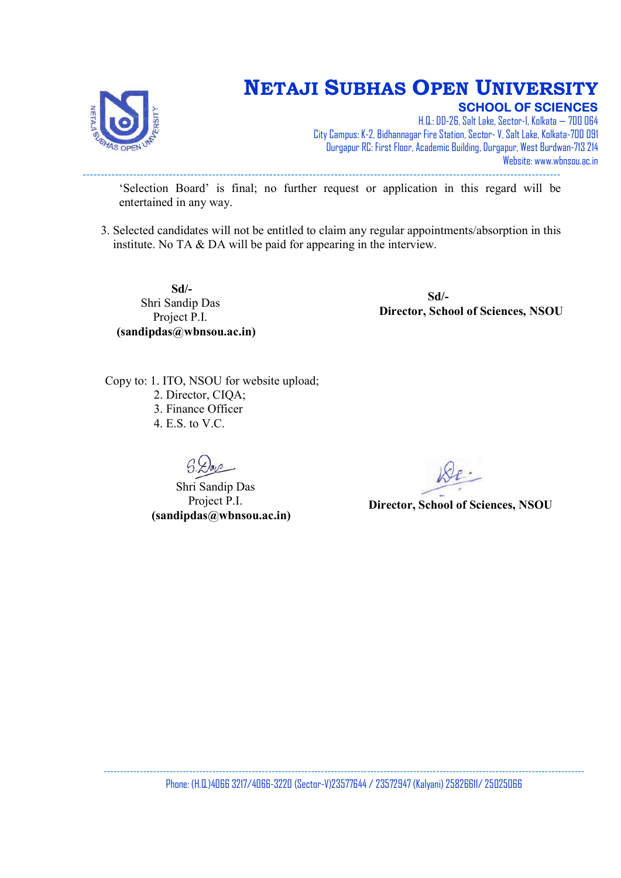

# NETAJI SUBHAS OPEN UNIVERSITY

SCHOOL OF SCIENCES

H.Q.: DD-26, Salt Lake, Sector-I, Kolkata — 700 064 City Campus: K-2, Bidhannagar Fire Station, Sector- V, Salt Lake, Kolkata-700 091 Durgapur RC: First Floor, Academic Building, Durgapur, West Burdwan-713 214 Website: www.wbnsou.ac.in -------------------------------------------------------------------------------------------------------------------------------------

'Selection Board' is final; no further request or application in this regard will be entertained in any way.

3. Selected candidates will not be entitled to claim any regular appointments/absorption in this institute. No TA & DA will be paid for appearing in the interview.

 Sd/- Shri Sandip Das Project P.I. (sandipdas@wbnsou.ac.in)

 Sd/- Director, School of Sciences, NSOU

Copy to: 1. ITO, NSOU for website upload; 2. Director, CIQA; 3. Finance Officer 4. E.S. to V.C.

 Shri Sandip Das Project P.I. (sandipdas@wbnsou.ac.in)

Director, School of Sciences, NSOU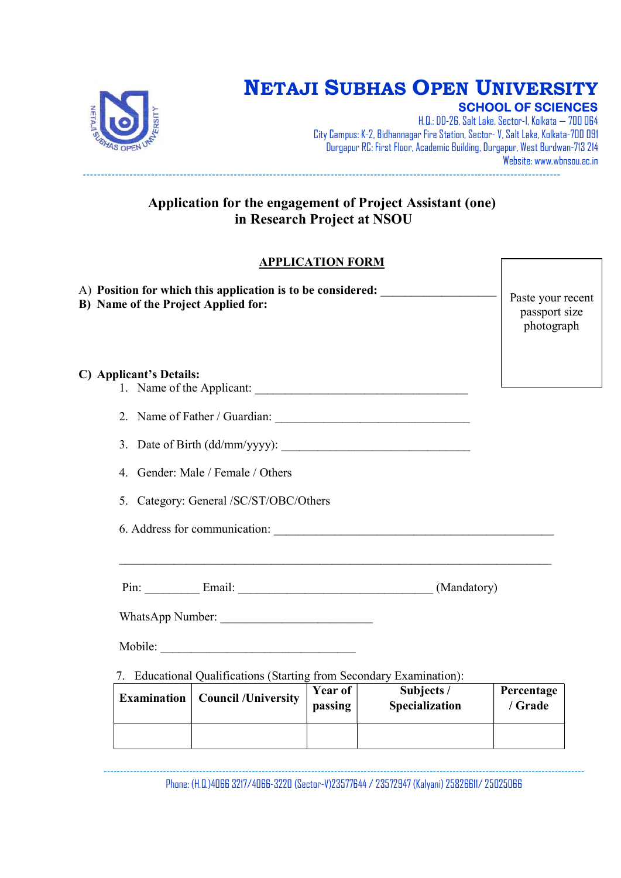

# NETAJI SUBHAS OPEN UNIVERSITY

SCHOOL OF SCIENCES

H.Q.: DD-26, Salt Lake, Sector-I, Kolkata — 700 064 City Campus: K-2, Bidhannagar Fire Station, Sector- V, Salt Lake, Kolkata-700 091 Durgapur RC: First Floor, Academic Building, Durgapur, West Burdwan-713 214 Website: www.wbnsou.ac.in -------------------------------------------------------------------------------------------------------------------------------------

### Application for the engagement of Project Assistant (one) in Research Project at NSOU

### APPLICATION FORM

| A) Position for which this application is to be considered:<br>B) Name of the Project Applied for:     | Paste your recent<br>passport size<br>photograph |
|--------------------------------------------------------------------------------------------------------|--------------------------------------------------|
| C) Applicant's Details:<br>1. Name of the Applicant:                                                   |                                                  |
|                                                                                                        |                                                  |
|                                                                                                        |                                                  |
| 4. Gender: Male / Female / Others                                                                      |                                                  |
| 5. Category: General /SC/ST/OBC/Others                                                                 |                                                  |
|                                                                                                        |                                                  |
| Pin: Email: Email: (Mandatory)                                                                         |                                                  |
| WhatsApp Number:                                                                                       |                                                  |
|                                                                                                        |                                                  |
| 7. Educational Qualifications (Starting from Secondary Examination):                                   |                                                  |
| <b>Year of</b><br>Subjects /<br><b>Council /University</b><br>Examination<br>Specialization<br>passing | Percentage<br>/ Grade                            |
|                                                                                                        |                                                  |

-------------------------------------------------------------------------------------------------------------------------------------------------- Phone: (H.Q.)4066 3217/4066-3220 (Sector-V)23577644 / 23572947 (Kalyani) 25826611/ 25025066